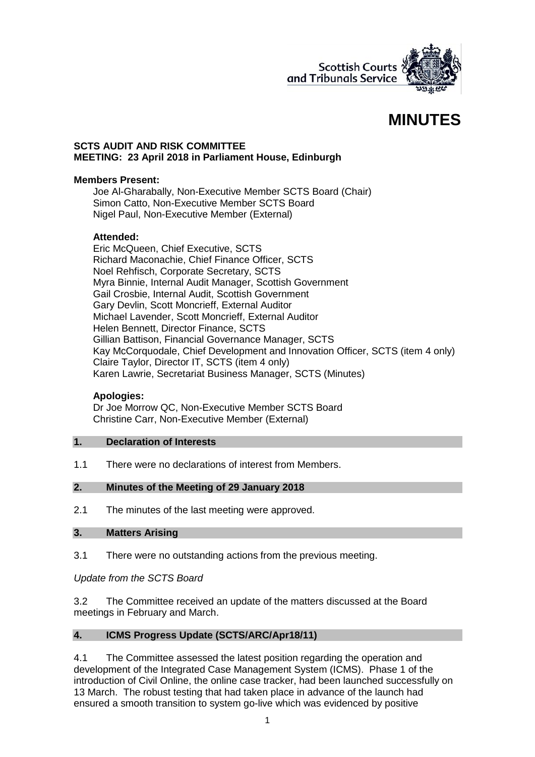

# **MINUTES**

#### **SCTS AUDIT AND RISK COMMITTEE MEETING: 23 April 2018 in Parliament House, Edinburgh**

### **Members Present:**

Joe Al-Gharabally, Non-Executive Member SCTS Board (Chair) Simon Catto, Non-Executive Member SCTS Board Nigel Paul, Non-Executive Member (External)

# **Attended:**

Eric McQueen, Chief Executive, SCTS Richard Maconachie, Chief Finance Officer, SCTS Noel Rehfisch, Corporate Secretary, SCTS Myra Binnie, Internal Audit Manager, Scottish Government Gail Crosbie, Internal Audit, Scottish Government Gary Devlin, Scott Moncrieff, External Auditor Michael Lavender, Scott Moncrieff, External Auditor Helen Bennett, Director Finance, SCTS Gillian Battison, Financial Governance Manager, SCTS Kay McCorquodale, Chief Development and Innovation Officer, SCTS (item 4 only) Claire Taylor, Director IT, SCTS (item 4 only) Karen Lawrie, Secretariat Business Manager, SCTS (Minutes)

#### **Apologies:**

Dr Joe Morrow QC, Non-Executive Member SCTS Board Christine Carr, Non-Executive Member (External)

#### **1. Declaration of Interests**

1.1 There were no declarations of interest from Members.

# **2. Minutes of the Meeting of 29 January 2018**

2.1 The minutes of the last meeting were approved.

# **3. Matters Arising**

3.1 There were no outstanding actions from the previous meeting.

*Update from the SCTS Board*

3.2 The Committee received an update of the matters discussed at the Board meetings in February and March.

# **4. ICMS Progress Update (SCTS/ARC/Apr18/11)**

4.1 The Committee assessed the latest position regarding the operation and development of the Integrated Case Management System (ICMS). Phase 1 of the introduction of Civil Online, the online case tracker, had been launched successfully on 13 March. The robust testing that had taken place in advance of the launch had ensured a smooth transition to system go-live which was evidenced by positive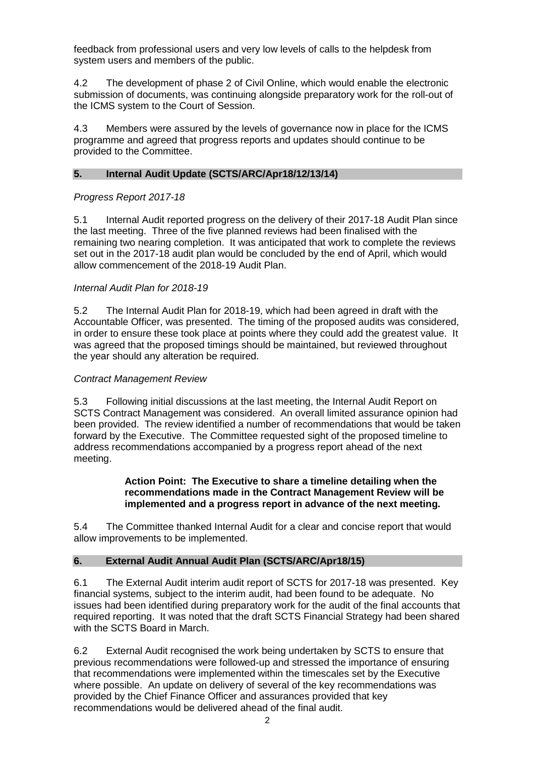feedback from professional users and very low levels of calls to the helpdesk from system users and members of the public.

4.2 The development of phase 2 of Civil Online, which would enable the electronic submission of documents, was continuing alongside preparatory work for the roll-out of the ICMS system to the Court of Session.

4.3 Members were assured by the levels of governance now in place for the ICMS programme and agreed that progress reports and updates should continue to be provided to the Committee.

# **5. Internal Audit Update (SCTS/ARC/Apr18/12/13/14)**

# *Progress Report 2017-18*

5.1 Internal Audit reported progress on the delivery of their 2017-18 Audit Plan since the last meeting. Three of the five planned reviews had been finalised with the remaining two nearing completion. It was anticipated that work to complete the reviews set out in the 2017-18 audit plan would be concluded by the end of April, which would allow commencement of the 2018-19 Audit Plan.

#### *Internal Audit Plan for 2018-19*

5.2 The Internal Audit Plan for 2018-19, which had been agreed in draft with the Accountable Officer, was presented. The timing of the proposed audits was considered, in order to ensure these took place at points where they could add the greatest value. It was agreed that the proposed timings should be maintained, but reviewed throughout the year should any alteration be required.

#### *Contract Management Review*

5.3 Following initial discussions at the last meeting, the Internal Audit Report on SCTS Contract Management was considered. An overall limited assurance opinion had been provided. The review identified a number of recommendations that would be taken forward by the Executive. The Committee requested sight of the proposed timeline to address recommendations accompanied by a progress report ahead of the next meeting.

#### **Action Point: The Executive to share a timeline detailing when the recommendations made in the Contract Management Review will be implemented and a progress report in advance of the next meeting.**

5.4 The Committee thanked Internal Audit for a clear and concise report that would allow improvements to be implemented.

# **6. External Audit Annual Audit Plan (SCTS/ARC/Apr18/15)**

6.1 The External Audit interim audit report of SCTS for 2017-18 was presented. Key financial systems, subject to the interim audit, had been found to be adequate. No issues had been identified during preparatory work for the audit of the final accounts that required reporting. It was noted that the draft SCTS Financial Strategy had been shared with the SCTS Board in March.

6.2 External Audit recognised the work being undertaken by SCTS to ensure that previous recommendations were followed-up and stressed the importance of ensuring that recommendations were implemented within the timescales set by the Executive where possible. An update on delivery of several of the key recommendations was provided by the Chief Finance Officer and assurances provided that key recommendations would be delivered ahead of the final audit.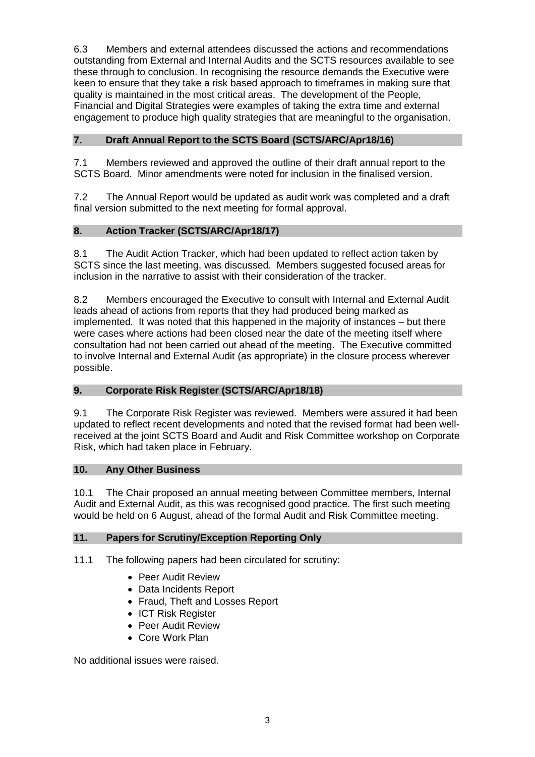6.3 Members and external attendees discussed the actions and recommendations outstanding from External and Internal Audits and the SCTS resources available to see these through to conclusion. In recognising the resource demands the Executive were keen to ensure that they take a risk based approach to timeframes in making sure that quality is maintained in the most critical areas. The development of the People, Financial and Digital Strategies were examples of taking the extra time and external engagement to produce high quality strategies that are meaningful to the organisation.

# **7. Draft Annual Report to the SCTS Board (SCTS/ARC/Apr18/16)**

7.1 Members reviewed and approved the outline of their draft annual report to the SCTS Board. Minor amendments were noted for inclusion in the finalised version.

7.2 The Annual Report would be updated as audit work was completed and a draft final version submitted to the next meeting for formal approval.

# **8. Action Tracker (SCTS/ARC/Apr18/17)**

8.1 The Audit Action Tracker, which had been updated to reflect action taken by SCTS since the last meeting, was discussed. Members suggested focused areas for inclusion in the narrative to assist with their consideration of the tracker.

8.2 Members encouraged the Executive to consult with Internal and External Audit leads ahead of actions from reports that they had produced being marked as implemented. It was noted that this happened in the majority of instances – but there were cases where actions had been closed near the date of the meeting itself where consultation had not been carried out ahead of the meeting. The Executive committed to involve Internal and External Audit (as appropriate) in the closure process wherever possible.

# **9. Corporate Risk Register (SCTS/ARC/Apr18/18)**

9.1 The Corporate Risk Register was reviewed. Members were assured it had been updated to reflect recent developments and noted that the revised format had been wellreceived at the joint SCTS Board and Audit and Risk Committee workshop on Corporate Risk, which had taken place in February.

# **10. Any Other Business**

10.1 The Chair proposed an annual meeting between Committee members, Internal Audit and External Audit, as this was recognised good practice. The first such meeting would be held on 6 August, ahead of the formal Audit and Risk Committee meeting.

# **11. Papers for Scrutiny/Exception Reporting Only**

11.1 The following papers had been circulated for scrutiny:

- Peer Audit Review
- Data Incidents Report
- Fraud, Theft and Losses Report
- ICT Risk Register
- Peer Audit Review
- Core Work Plan

No additional issues were raised.